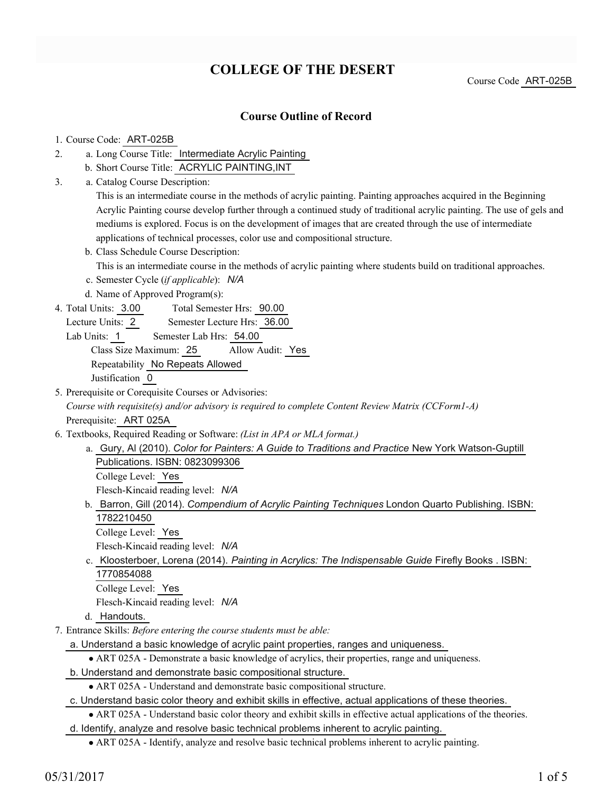# **COLLEGE OF THE DESERT**

Course Code ART-025B

### **Course Outline of Record**

#### 1. Course Code: ART-025B

- a. Long Course Title: Intermediate Acrylic Painting 2.
	- b. Short Course Title: ACRYLIC PAINTING,INT
- Catalog Course Description: a. 3.

This is an intermediate course in the methods of acrylic painting. Painting approaches acquired in the Beginning Acrylic Painting course develop further through a continued study of traditional acrylic painting. The use of gels and mediums is explored. Focus is on the development of images that are created through the use of intermediate applications of technical processes, color use and compositional structure.

b. Class Schedule Course Description:

This is an intermediate course in the methods of acrylic painting where students build on traditional approaches.

- c. Semester Cycle (*if applicable*): *N/A*
- d. Name of Approved Program(s):
- Total Semester Hrs: 90.00 4. Total Units: 3.00

Lecture Units: 2 Semester Lecture Hrs: 36.00

Lab Units: 1 Semester Lab Hrs: 54.00

Class Size Maximum: 25 Allow Audit: Yes Repeatability No Repeats Allowed

Justification 0

- 5. Prerequisite or Corequisite Courses or Advisories: *Course with requisite(s) and/or advisory is required to complete Content Review Matrix (CCForm1-A)* Prerequisite: ART 025A
- Textbooks, Required Reading or Software: *(List in APA or MLA format.)* 6.
	- a. Gury, Al (2010). *Color for Painters: A Guide to Traditions and Practice* New York Watson-Guptill Publications. ISBN: 0823099306 College Level: Yes

Flesch-Kincaid reading level: *N/A*

b. Barron, Gill (2014). *Compendium of Acrylic Painting Techniques* London Quarto Publishing. ISBN: 1782210450

College Level: Yes

Flesch-Kincaid reading level: *N/A*

c. Kloosterboer, Lorena (2014). *Painting in Acrylics: The Indispensable Guide* Firefly Books . ISBN: 1770854088 College Level: Yes

Flesch-Kincaid reading level: *N/A*

- d. Handouts.
- Entrance Skills: *Before entering the course students must be able:* 7.

a. Understand a basic knowledge of acrylic paint properties, ranges and uniqueness.

- ART 025A Demonstrate a basic knowledge of acrylics, their properties, range and uniqueness.
- b. Understand and demonstrate basic compositional structure.
	- ART 025A Understand and demonstrate basic compositional structure.

c. Understand basic color theory and exhibit skills in effective, actual applications of these theories.

ART 025A - Understand basic color theory and exhibit skills in effective actual applications of the theories.

d. Identify, analyze and resolve basic technical problems inherent to acrylic painting.

• ART 025A - Identify, analyze and resolve basic technical problems inherent to acrylic painting.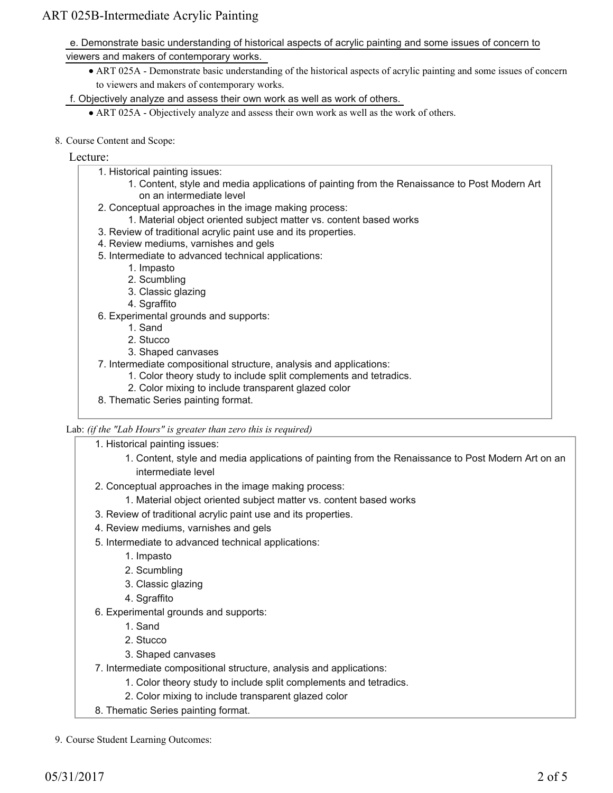e. Demonstrate basic understanding of historical aspects of acrylic painting and some issues of concern to viewers and makers of contemporary works.

ART 025A - Demonstrate basic understanding of the historical aspects of acrylic painting and some issues of concern to viewers and makers of contemporary works.

f. Objectively analyze and assess their own work as well as work of others.

- ART 025A Objectively analyze and assess their own work as well as the work of others.
- 8. Course Content and Scope:

#### Lecture:

- 1. Historical painting issues:
	- 1. Content, style and media applications of painting from the Renaissance to Post Modern Art on an intermediate level
- 2. Conceptual approaches in the image making process:
	- 1. Material object oriented subject matter vs. content based works
- 3. Review of traditional acrylic paint use and its properties.
- 4. Review mediums, varnishes and gels
- 5. Intermediate to advanced technical applications:
	- 1. Impasto
	- 2. Scumbling
	- 3. Classic glazing
	- 4. Sgraffito
- 6. Experimental grounds and supports:
	- 1. Sand
	- 2. Stucco
	- 3. Shaped canvases
- 7. Intermediate compositional structure, analysis and applications:
	- 1. Color theory study to include split complements and tetradics.
	- 2. Color mixing to include transparent glazed color
- 8. Thematic Series painting format.

Lab: *(if the "Lab Hours" is greater than zero this is required)*

1. Historical painting issues:

- 1. Content, style and media applications of painting from the Renaissance to Post Modern Art on an intermediate level
- 2. Conceptual approaches in the image making process:
	- 1. Material object oriented subject matter vs. content based works
- 3. Review of traditional acrylic paint use and its properties.
- 4. Review mediums, varnishes and gels
- 5. Intermediate to advanced technical applications:
	- 1. Impasto
	- 2. Scumbling
	- 3. Classic glazing
	- 4. Sgraffito
- Experimental grounds and supports: 6.
	- 1. Sand
	- 2. Stucco
	- 3. Shaped canvases
- 7. Intermediate compositional structure, analysis and applications:
	- 1. Color theory study to include split complements and tetradics.
	- 2. Color mixing to include transparent glazed color
- 8. Thematic Series painting format.

9. Course Student Learning Outcomes: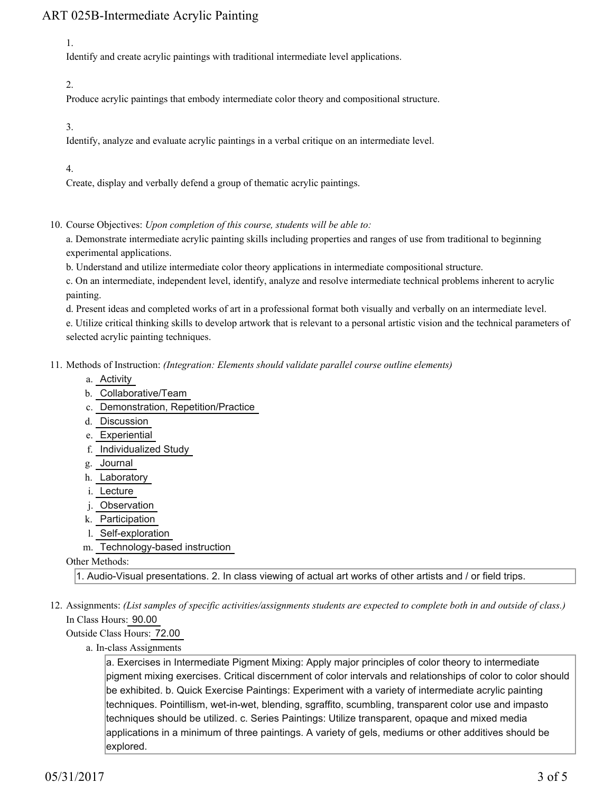1.

Identify and create acrylic paintings with traditional intermediate level applications.

2.

Produce acrylic paintings that embody intermediate color theory and compositional structure.

3.

Identify, analyze and evaluate acrylic paintings in a verbal critique on an intermediate level.

4.

Create, display and verbally defend a group of thematic acrylic paintings.

10. Course Objectives: Upon completion of this course, students will be able to:

a. Demonstrate intermediate acrylic painting skills including properties and ranges of use from traditional to beginning experimental applications.

b. Understand and utilize intermediate color theory applications in intermediate compositional structure.

c. On an intermediate, independent level, identify, analyze and resolve intermediate technical problems inherent to acrylic painting.

d. Present ideas and completed works of art in a professional format both visually and verbally on an intermediate level.

e. Utilize critical thinking skills to develop artwork that is relevant to a personal artistic vision and the technical parameters of selected acrylic painting techniques.

Methods of Instruction: *(Integration: Elements should validate parallel course outline elements)* 11.

- a. Activity
- b. Collaborative/Team
- c. Demonstration, Repetition/Practice
- d. Discussion
- e. Experiential
- f. Individualized Study
- g. Journal
- h. Laboratory
- i. Lecture
- j. Observation
- k. Participation
- l. Self-exploration
- m. Technology-based instruction

#### Other Methods:

1. Audio-Visual presentations. 2. In class viewing of actual art works of other artists and / or field trips.

12. Assignments: (List samples of specific activities/assignments students are expected to complete both in and outside of class.) In Class Hours: 90.00

Outside Class Hours: 72.00

a. In-class Assignments

a. Exercises in Intermediate Pigment Mixing: Apply major principles of color theory to intermediate pigment mixing exercises. Critical discernment of color intervals and relationships of color to color should be exhibited. b. Quick Exercise Paintings: Experiment with a variety of intermediate acrylic painting techniques. Pointillism, wet-in-wet, blending, sgraffito, scumbling, transparent color use and impasto techniques should be utilized. c. Series Paintings: Utilize transparent, opaque and mixed media applications in a minimum of three paintings. A variety of gels, mediums or other additives should be explored.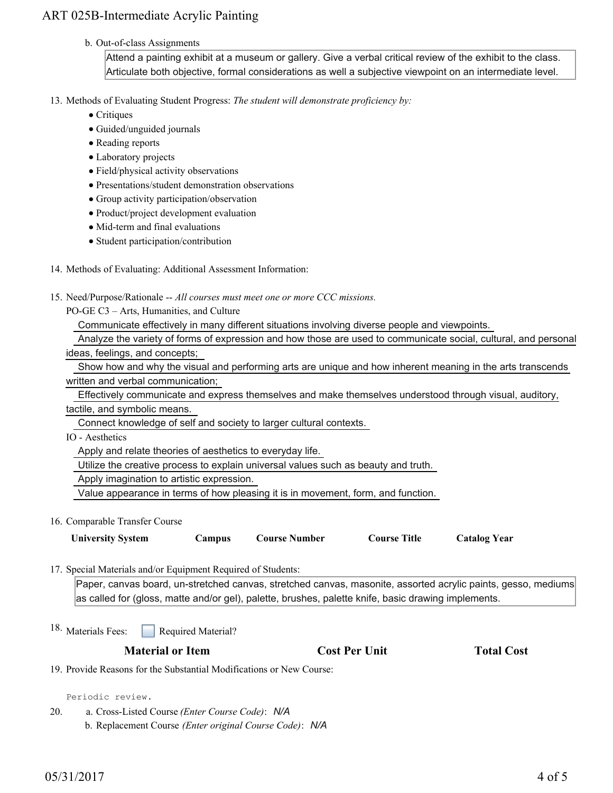#### b. Out-of-class Assignments

Attend a painting exhibit at a museum or gallery. Give a verbal critical review of the exhibit to the class. Articulate both objective, formal considerations as well a subjective viewpoint on an intermediate level.

13. Methods of Evaluating Student Progress: The student will demonstrate proficiency by:

- Critiques
- Guided/unguided journals
- Reading reports
- Laboratory projects
- Field/physical activity observations
- Presentations/student demonstration observations
- Group activity participation/observation
- Product/project development evaluation
- Mid-term and final evaluations
- Student participation/contribution
- 14. Methods of Evaluating: Additional Assessment Information:

15. Need/Purpose/Rationale -- All courses must meet one or more CCC missions.

PO-GE C3 – Arts, Humanities, and Culture

Communicate effectively in many different situations involving diverse people and viewpoints.

 Analyze the variety of forms of expression and how those are used to communicate social, cultural, and personal ideas, feelings, and concepts;

| Show how and why the visual and performing arts are unique and how inherent meaning in the arts transcends |  |  |  |  |  |  |
|------------------------------------------------------------------------------------------------------------|--|--|--|--|--|--|
| written and verbal communication;                                                                          |  |  |  |  |  |  |

 Effectively communicate and express themselves and make themselves understood through visual, auditory, tactile, and symbolic means.

Connect knowledge of self and society to larger cultural contexts.

IO - Aesthetics

Apply and relate theories of aesthetics to everyday life.

Utilize the creative process to explain universal values such as beauty and truth.

Apply imagination to artistic expression.

Value appearance in terms of how pleasing it is in movement, form, and function.

16. Comparable Transfer Course

| <b>University System</b> | <b>Campus</b> | <b>Course Number</b> | <b>Course Title</b> | <b>Catalog Year</b> |
|--------------------------|---------------|----------------------|---------------------|---------------------|
|--------------------------|---------------|----------------------|---------------------|---------------------|

17. Special Materials and/or Equipment Required of Students:

Paper, canvas board, un-stretched canvas, stretched canvas, masonite, assorted acrylic paints, gesso, mediums as called for (gloss, matte and/or gel), palette, brushes, palette knife, basic drawing implements.

Required Material? <sup>18.</sup> Materials Fees:

**Material or Item Cost Per Unit Total Cost** 

19. Provide Reasons for the Substantial Modifications or New Course:

Periodic review.

a. Cross-Listed Course *(Enter Course Code)*: *N/A* b. Replacement Course *(Enter original Course Code)*: *N/A* 20.